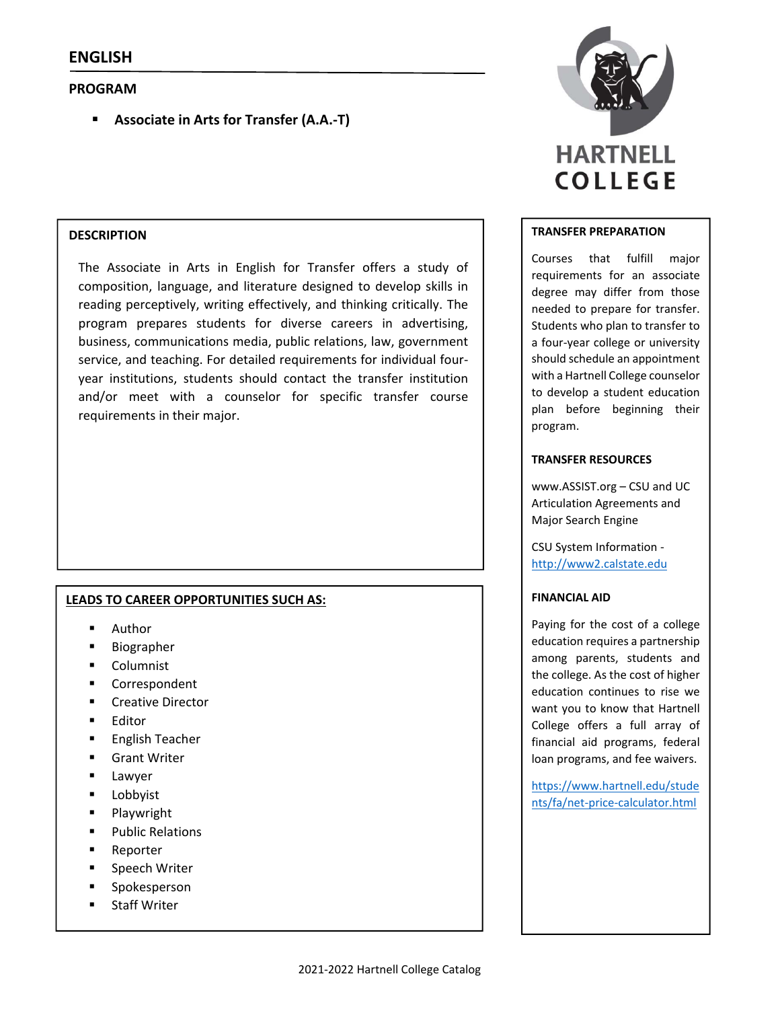## **PROGRAM**

**Associate in Arts for Transfer (A.A.‐T)**

## **DESCRIPTION**

The Associate in Arts in English for Transfer offers a study of composition, language, and literature designed to develop skills in reading perceptively, writing effectively, and thinking critically. The program prepares students for diverse careers in advertising, business, communications media, public relations, law, government service, and teaching. For detailed requirements for individual four‐ year institutions, students should contact the transfer institution and/or meet with a counselor for specific transfer course requirements in their major.

## **LEADS TO CAREER OPPORTUNITIES SUCH AS:**

- **Author**
- Biographer
- **Columnist**
- **Correspondent**
- **E** Creative Director
- Editor
- **English Teacher**
- Grant Writer
- **Lawyer**
- Lobbyist
- **Playwright**
- Public Relations
- Reporter
- Speech Writer
- Spokesperson
- Staff Writer



#### **TRANSFER PREPARATION**

Courses that fulfill major requirements for an associate degree may differ from those needed to prepare for transfer. Students who plan to transfer to a four‐year college or university should schedule an appointment with a Hartnell College counselor to develop a student education plan before beginning their program.

#### **TRANSFER RESOURCES**

www.ASSIST.org – CSU and UC Articulation Agreements and Major Search Engine

CSU System Information ‐ http://www2.calstate.edu

## **FINANCIAL AID**

Paying for the cost of a college education requires a partnership among parents, students and the college. As the cost of higher education continues to rise we want you to know that Hartnell College offers a full array of financial aid programs, federal loan programs, and fee waivers.

https://www.hartnell.edu/stude nts/fa/net‐price‐calculator.html